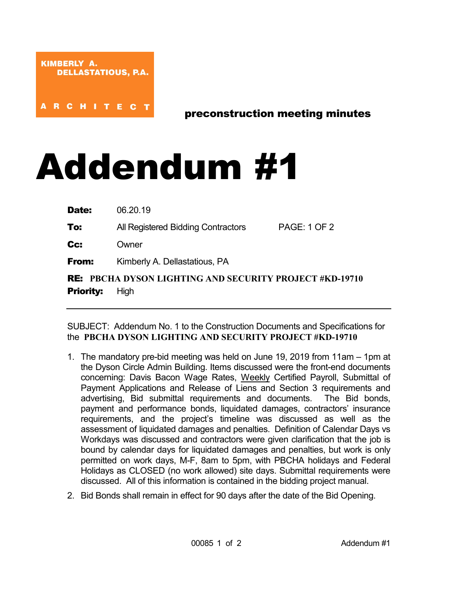**ARCHITEC** 

preconstruction meeting minutes

## Addendum #1

| Date: | 06.20.19 |  |
|-------|----------|--|
|-------|----------|--|

**To:** All Registered Bidding Contractors PAGE: 1 OF 2

Cc: Owner

**From:** Kimberly A. Dellastatious, PA

RE: **PBCHA DYSON LIGHTING AND SECURITY PROJECT #KD-19710 Priority:** High

SUBJECT: Addendum No. 1 to the Construction Documents and Specifications for the **PBCHA DYSON LIGHTING AND SECURITY PROJECT #KD-19710**

- 1. The mandatory pre-bid meeting was held on June 19, 2019 from 11am 1pm at the Dyson Circle Admin Building. Items discussed were the front-end documents concerning: Davis Bacon Wage Rates, Weekly Certified Payroll, Submittal of Payment Applications and Release of Liens and Section 3 requirements and advertising, Bid submittal requirements and documents. The Bid bonds, payment and performance bonds, liquidated damages, contractors' insurance requirements, and the project's timeline was discussed as well as the assessment of liquidated damages and penalties. Definition of Calendar Days vs Workdays was discussed and contractors were given clarification that the job is bound by calendar days for liquidated damages and penalties, but work is only permitted on work days, M-F, 8am to 5pm, with PBCHA holidays and Federal Holidays as CLOSED (no work allowed) site days. Submittal requirements were discussed. All of this information is contained in the bidding project manual.
- 2. Bid Bonds shall remain in effect for 90 days after the date of the Bid Opening.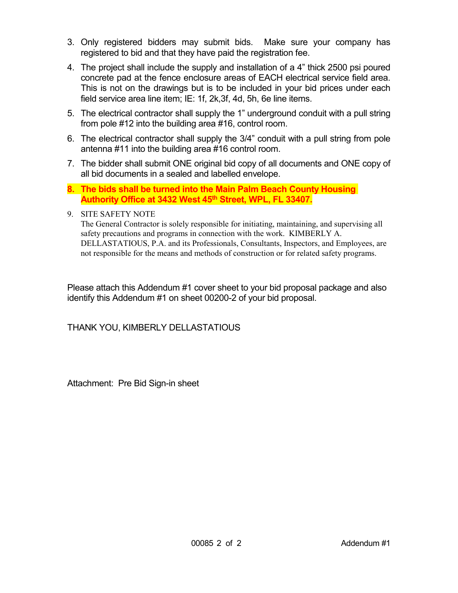- 3. Only registered bidders may submit bids. Make sure your company has registered to bid and that they have paid the registration fee.
- 4. The project shall include the supply and installation of a 4" thick 2500 psi poured concrete pad at the fence enclosure areas of EACH electrical service field area. This is not on the drawings but is to be included in your bid prices under each field service area line item; IE: 1f, 2k,3f, 4d, 5h, 6e line items.
- 5. The electrical contractor shall supply the 1" underground conduit with a pull string from pole #12 into the building area #16, control room.
- 6. The electrical contractor shall supply the 3/4" conduit with a pull string from pole antenna #11 into the building area #16 control room.
- 7. The bidder shall submit ONE original bid copy of all documents and ONE copy of all bid documents in a sealed and labelled envelope.
- **8. The bids shall be turned into the Main Palm Beach County Housing Authority Office at 3432 West 45th Street, WPL, FL 33407.**
- 9. SITE SAFETY NOTE

The General Contractor is solely responsible for initiating, maintaining, and supervising all safety precautions and programs in connection with the work. KIMBERLY A. DELLASTATIOUS, P.A. and its Professionals, Consultants, Inspectors, and Employees, are not responsible for the means and methods of construction or for related safety programs.

Please attach this Addendum #1 cover sheet to your bid proposal package and also identify this Addendum #1 on sheet 00200-2 of your bid proposal.

THANK YOU, KIMBERLY DELLASTATIOUS

Attachment: Pre Bid Sign-in sheet